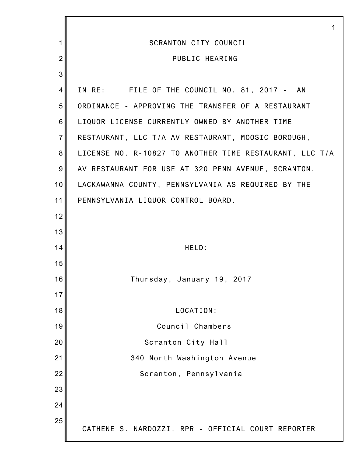|                | 1                                                       |
|----------------|---------------------------------------------------------|
| 1              | <b>SCRANTON CITY COUNCIL</b>                            |
| $\overline{2}$ | PUBLIC HEARING                                          |
| 3              |                                                         |
| 4              | IN RE: FILE OF THE COUNCIL NO. 81, 2017 - AN            |
| 5              | ORDINANCE - APPROVING THE TRANSFER OF A RESTAURANT      |
| 6              | LIQUOR LICENSE CURRENTLY OWNED BY ANOTHER TIME          |
| $\overline{7}$ | RESTAURANT, LLC T/A AV RESTAURANT, MOOSIC BOROUGH,      |
| 8              | LICENSE NO. R-10827 TO ANOTHER TIME RESTAURANT, LLC T/A |
| 9              | AV RESTAURANT FOR USE AT 320 PENN AVENUE, SCRANTON,     |
| 10             | LACKAWANNA COUNTY, PENNSYLVANIA AS REQUIRED BY THE      |
| 11             | PENNSYLVANIA LIQUOR CONTROL BOARD.                      |
| 12             |                                                         |
| 13             |                                                         |
| 14             | HELD:                                                   |
| 15             |                                                         |
| 16             | Thursday, January 19, 2017                              |
| 17             |                                                         |
| 18             | LOCATION:                                               |
| 19             | Council Chambers                                        |
| 20             | Scranton City Hall                                      |
| 21             | 340 North Washington Avenue                             |
| 22             | Scranton, Pennsylvania                                  |
| 23             |                                                         |
| 24             |                                                         |
| 25             | CATHENE S. NARDOZZI, RPR - OFFICIAL COURT REPORTER      |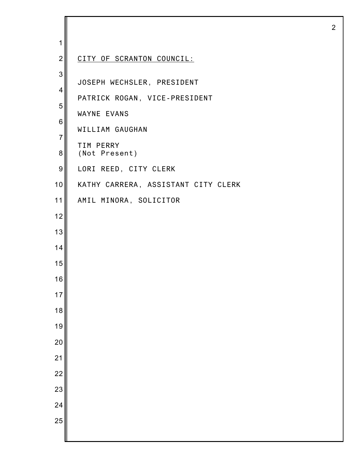| 1               |                                     |
|-----------------|-------------------------------------|
| $\overline{2}$  | CITY OF SCRANTON COUNCIL:           |
| 3               |                                     |
| $\overline{4}$  | JOSEPH WECHSLER, PRESIDENT          |
| 5               | PATRICK ROGAN, VICE-PRESIDENT       |
| 6               | WAYNE EVANS                         |
| $\overline{7}$  | WILLIAM GAUGHAN                     |
| 8               | TIM PERRY<br>(Not Present)          |
| 9               | LORI REED, CITY CLERK               |
| 10              | KATHY CARRERA, ASSISTANT CITY CLERK |
| 11              | AMIL MINORA, SOLICITOR              |
| 12              |                                     |
| 13              |                                     |
| 14              |                                     |
| 15              |                                     |
| 16              |                                     |
| $17$            |                                     |
| 18              |                                     |
| 19              |                                     |
| 20              |                                     |
| 21              |                                     |
| $\overline{22}$ |                                     |
| 23              |                                     |
| 24              |                                     |
| 25              |                                     |
|                 |                                     |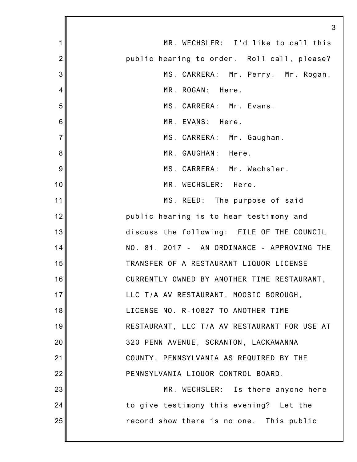|                | 3                                            |
|----------------|----------------------------------------------|
| 1              | MR. WECHSLER: I'd like to call this          |
| $\overline{2}$ | public hearing to order. Roll call, please?  |
| 3              | MS. CARRERA: Mr. Perry. Mr. Rogan.           |
| 4              | MR. ROGAN: Here.                             |
| 5              | MS. CARRERA: Mr. Evans.                      |
| 6              | MR. EVANS: Here.                             |
| $\overline{7}$ | MS. CARRERA: Mr. Gaughan.                    |
| 8              | MR. GAUGHAN: Here.                           |
| 9              | MS. CARRERA: Mr. Wechsler.                   |
| 10             | MR. WECHSLER: Here.                          |
| 11             | MS. REED: The purpose of said                |
| 12             | public hearing is to hear testimony and      |
| 13             | discuss the following: FILE OF THE COUNCIL   |
| 14             | NO. 81, 2017 - AN ORDINANCE - APPROVING THE  |
| 15             | TRANSFER OF A RESTAURANT LIQUOR LICENSE      |
| 16             | CURRENTLY OWNED BY ANOTHER TIME RESTAURANT,  |
| 17             | LLC T/A AV RESTAURANT, MOOSIC BOROUGH,       |
| 18             | LICENSE NO. R-10827 TO ANOTHER TIME          |
| 19             | RESTAURANT, LLC T/A AV RESTAURANT FOR USE AT |
| 20             | 320 PENN AVENUE, SCRANTON, LACKAWANNA        |
| 21             | COUNTY, PENNSYLVANIA AS REQUIRED BY THE      |
| 22             | PENNSYLVANIA LIQUOR CONTROL BOARD.           |
| 23             | MR. WECHSLER: Is there anyone here           |
| 24             | to give testimony this evening? Let the      |
| 25             | record show there is no one. This public     |
|                |                                              |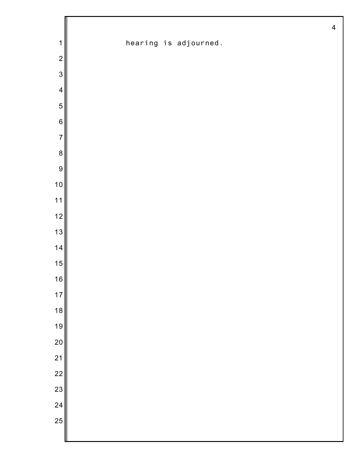|                         | $\overline{\mathbf{4}}$ |
|-------------------------|-------------------------|
| $\mathbf{1}$            | hearing is adjourned.   |
| $\mathbf 2$             |                         |
| $\mathfrak{S}$          |                         |
| $\overline{\mathbf{4}}$ |                         |
| 5                       |                         |
| $\,6$                   |                         |
| $\overline{7}$          |                         |
| $\bf 8$                 |                         |
| 9                       |                         |
| 10                      |                         |
| $11$                    |                         |
| 12                      |                         |
| 13                      |                         |
| 14                      |                         |
| 15                      |                         |
| 16                      |                         |
| 17                      |                         |
| 18                      |                         |
| 19                      |                         |
| 20                      |                         |
| 21                      |                         |
| $\overline{22}$         |                         |
| 23                      |                         |
| 24                      |                         |
| 25                      |                         |
|                         |                         |